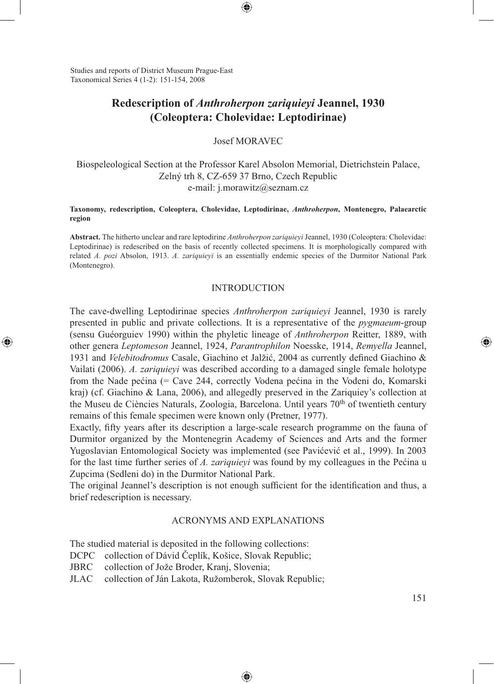Studies and reports of District Museum Prague-East Taxonomical Series 4 (1-2): 151-154, 2008

⊕

# **Redescription of** *Anthroherpon zariquieyi* **Jeannel, 1930 (Coleoptera: Cholevidae: Leptodirinae)**

⊕

Josef MORAVEC

Biospeleological Section at the Professor Karel Absolon Memorial, Dietrichstein Palace, Zelný trh 8, CZ-659 37 Brno, Czech Republic e-mail: j.morawitz@seznam.cz

**Taxonomy, redescription, Coleoptera, Cholevidae, Leptodirinae,** *Anthroherpon***, Montenegro, Palaearctic region**

**Abstract.** The hitherto unclear and rare leptodirine *Anthroherpon zariquieyi* Jeannel, 1930 (Coleoptera: Cholevidae: Leptodirinae) is redescribed on the basis of recently collected specimens. It is morphologically compared with related *A. pozi* Absolon, 1913. *A. zariquieyi* is an essentially endemic species of the Durmitor National Park (Montenegro).

#### **INTRODUCTION**

The cave-dwelling Leptodirinae species *Anthroherpon zariquieyi* Jeannel, 1930 is rarely presented in public and private collections. It is a representative of the *pygmaeum*-group (sensu Guéorguiev 1990) within the phyletic lineage of *Anthroherpon* Reitter, 1889, with other genera *Leptomeson* Jeannel, 1924, *Parantrophilon* Noesske, 1914, *Remyella* Jeannel, 1931 and *Velebitodromus* Casale, Giachino et Jalžić, 2004 as currently defined Giachino & Vailati (2006). *A. zariquieyi* was described according to a damaged single female holotype from the Nade pećina (= Cave 244, correctly Vodena pećina in the Vodeni do, Komarski kraj) (cf. Giachino & Lana, 2006), and allegedly preserved in the Zariquiey's collection at the Museu de Ciències Naturals, Zoologia, Barcelona. Until years 70<sup>th</sup> of twentieth century remains of this female specimen were known only (Pretner, 1977).

Exactly, fifty years after its description a large-scale research programme on the fauna of Durmitor organized by the Montenegrin Academy of Sciences and Arts and the former Yugoslavian Entomological Society was implemented (see Pavićević et al., 1999). In 2003 for the last time further series of *A. zariquieyi* was found by my colleagues in the Pećina u Zupcima (Sedleni do) in the Durmitor National Park.

The original Jeannel's description is not enough sufficient for the identification and thus, a brief redescription is necessary.

#### ACRONYMS AND EXPLANATIONS

⊕

The studied material is deposited in the following collections:

- DCPC collection of Dávid Čeplík, Košice, Slovak Republic;
- JBRC collection of Jože Broder, Kranj, Slovenia;
- JLAC collection of Ján Lakota, Ružomberok, Slovak Republic;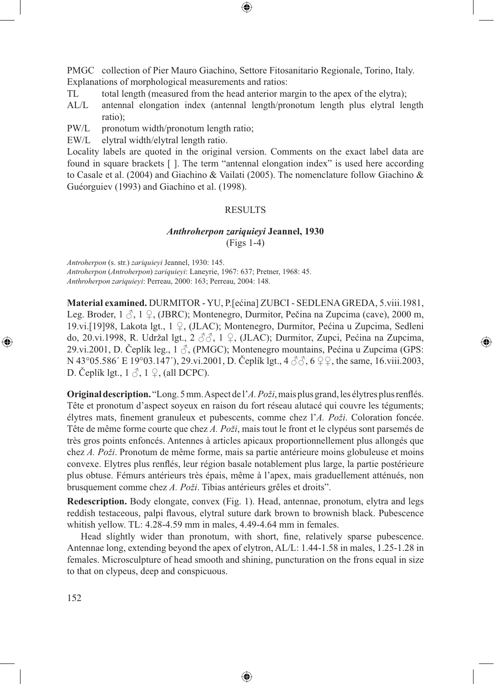PMGC collection of Pier Mauro Giachino, Settore Fitosanitario Regionale, Torino, Italy. Explanations of morphological measurements and ratios:

- TL total length (measured from the head anterior margin to the apex of the elytra);
- AL/L antennal elongation index (antennal length/pronotum length plus elytral length ratio);
- PW/L pronotum width/pronotum length ratio;

EW/L elytral width/elytral length ratio.

Locality labels are quoted in the original version. Comments on the exact label data are found in square brackets [ ]. The term "antennal elongation index" is used here according to Casale et al. (2004) and Giachino & Vailati (2005). The nomenclature follow Giachino & Guéorguiev (1993) and Giachino et al. (1998).

### RESULTS

## *Anthroherpon zariquieyi* **Jeannel, 1930** (Figs 1-4)

*Antroherpon* (s. str.) *zariquieyi* Jeannel, 1930: 145.

*Antroherpon* (*Antroherpon*) *zariquieyi*: Laneyrie, 1967: 637; Pretner, 1968: 45. *Anthroherpon zariquieyi*: Perreau, 2000: 163; Perreau, 2004: 148.

**Material examined.** DURMITOR - YU, P.[ećina] ZUBCI - SEDLENA GREDA, 5.viii.1981, Leg. Broder, 1 3, 1 ♀, (JBRC); Montenegro, Durmitor, Pečina na Zupcima (cave), 2000 m, 19.vi.[19]98, Lakota lgt., 1 ♀, (JLAC); Montenegro, Durmitor, Pećina u Zupcima, Sedleni do, 20.vi.1998, R. Udržal lgt., 2 ♂♂, 1 ♀, (JLAC); Durmitor, Zupci, Pećina na Zupcima, 29.vi.2001, D. Čeplík leg., 1  $\beta$ , (PMGC); Montenegro mountains, Pećina u Zupcima (GPS: N 43°05.586′ E 19°03.147′), 29.vi.2001, D. Čeplík lgt., 4 3 3, 6 ♀♀, the same, 16.viii.2003, D. Čeplík lgt.,  $1 \circled{?}$ ,  $1 \circled{?}$ , (all DCPC).

⊕

**Original description.** "Long. 5 mm. Aspect de l'*A. Poži*, mais plus grand, les élytres plus renflés. Tête et pronotum d'aspect soyeux en raison du fort réseau alutacé qui couvre les téguments; élytres mats, finement granuleux et pubescents, comme chez l'*A. Poži*. Coloration foncée. Tête de même forme courte que chez *A. Poži*, mais tout le front et le clypéus sont parsemés de très gros points enfoncés. Antennes à articles apicaux proportionnellement plus allongés que chez *A. Poži*. Pronotum de même forme, mais sa partie antérieure moins globuleuse et moins convexe. Elytres plus renflés, leur région basale notablement plus large, la partie postérieure plus obtuse. Fémurs antérieurs très épais, même à l'apex, mais graduellement atténués, non brusquement comme chez *A. Poži*. Tibias antérieurs grêles et droits".

**Redescription.** Body elongate, convex (Fig. 1). Head, antennae, pronotum, elytra and legs reddish testaceous, palpi flavous, elytral suture dark brown to brownish black. Pubescence whitish yellow. TL: 4.28-4.59 mm in males, 4.49-4.64 mm in females.

Head slightly wider than pronotum, with short, fine, relatively sparse pubescence. Antennae long, extending beyond the apex of elytron, AL/L: 1.44-1.58 in males, 1.25-1.28 in females. Microsculpture of head smooth and shining, puncturation on the frons equal in size to that on clypeus, deep and conspicuous.

⊕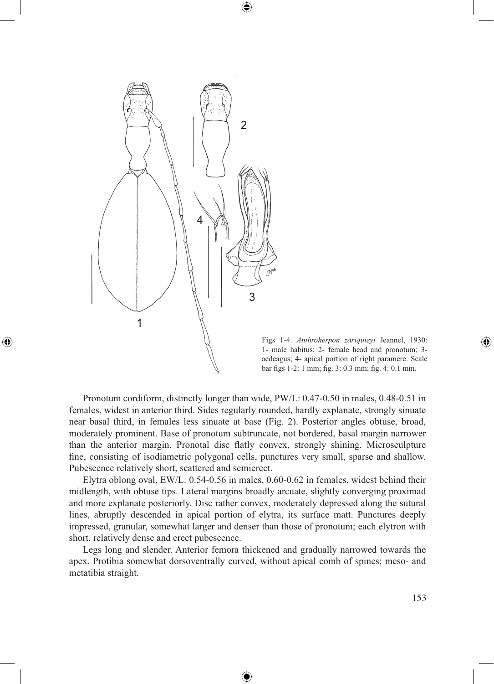

◈



Pronotum cordiform, distinctly longer than wide, PW/L: 0.47-0.50 in males, 0.48-0.51 in females, widest in anterior third. Sides regularly rounded, hardly explanate, strongly sinuate near basal third, in females less sinuate at base (Fig. 2). Posterior angles obtuse, broad, moderately prominent. Base of pronotum subtruncate, not bordered, basal margin narrower than the anterior margin. Pronotal disc flatly convex, strongly shining. Microsculpture fine, consisting of isodiametric polygonal cells, punctures very small, sparse and shallow. Pubescence relatively short, scattered and semierect.

⊕

Elytra oblong oval, EW/L: 0.54-0.56 in males, 0.60-0.62 in females, widest behind their midlength, with obtuse tips. Lateral margins broadly arcuate, slightly converging proximad and more explanate posteriorly. Disc rather convex, moderately depressed along the sutural lines, abruptly descended in apical portion of elytra, its surface matt. Punctures deeply impressed, granular, somewhat larger and denser than those of pronotum; each elytron with short, relatively dense and erect pubescence.

Legs long and slender. Anterior femora thickened and gradually narrowed towards the apex. Protibia somewhat dorsoventrally curved, without apical comb of spines; meso- and metatibia straight.

⊕